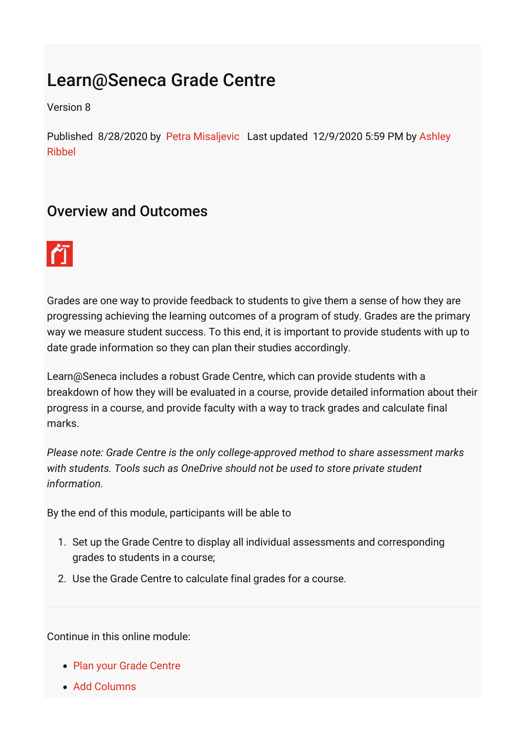## Learn@Seneca Grade Centre

Version 8

[Published 8/28/2020 by](https://employees.senecacollege.ca/people/ashley-ribbel) [Petra Misaljevic](https://employees.senecacollege.ca/people/PETRA-MISALJEVIC) [Last updated 12/9/2020 5:59 PM by Ashley](https://employees.senecacollege.ca/people/ashley-ribbel) Ribbel

## Overview and Outcomes



Grades are one way to provide feedback to students to give them a sense of how they are progressing achieving the learning outcomes of a program of study. Grades are the primary way we measure student success. To this end, it is important to provide students with up to date grade information so they can plan their studies accordingly.

Learn@Seneca includes a robust Grade Centre, which can provide students with a breakdown of how they will be evaluated in a course, provide detailed information about their progress in a course, and provide faculty with a way to track grades and calculate final marks.

*Please note: Grade Centre is the only college-approved method to share assessment marks with students. Tools such as OneDrive should not be used to store private student information.*

By the end of this module, participants will be able to

- 1. Set up the Grade Centre to display all individual assessments and corresponding grades to students in a course;
- 2. Use the Grade Centre to calculate final grades for a course.

Continue in this online module:

- [Plan your Grade Centre](https://employees.senecacollege.ca/spaces/39/the-teaching-learning-centre/wiki/view/4994/plan-your-grade-centre)
- [Add Columns](https://employees.senecacollege.ca/spaces/39/the-teaching-learning-centre/wiki/view/4996/add-columns)